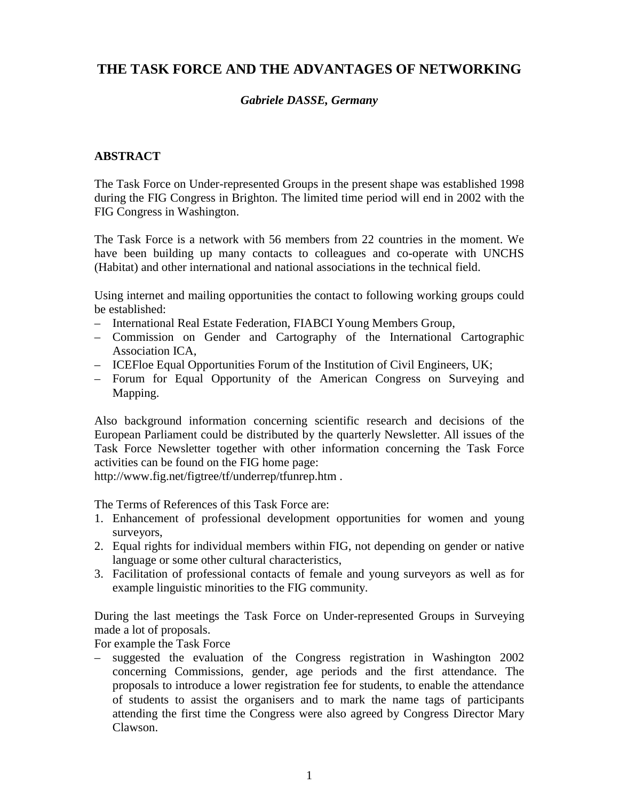## **THE TASK FORCE AND THE ADVANTAGES OF NETWORKING**

## *Gabriele DASSE, Germany*

## **ABSTRACT**

The Task Force on Under-represented Groups in the present shape was established 1998 during the FIG Congress in Brighton. The limited time period will end in 2002 with the FIG Congress in Washington.

The Task Force is a network with 56 members from 22 countries in the moment. We have been building up many contacts to colleagues and co-operate with UNCHS (Habitat) and other international and national associations in the technical field.

Using internet and mailing opportunities the contact to following working groups could be established:

- International Real Estate Federation, FIABCI Young Members Group,
- Commission on Gender and Cartography of the International Cartographic Association ICA,
- ICEFloe Equal Opportunities Forum of the Institution of Civil Engineers, UK;
- Forum for Equal Opportunity of the American Congress on Surveying and Mapping.

Also background information concerning scientific research and decisions of the European Parliament could be distributed by the quarterly Newsletter. All issues of the Task Force Newsletter together with other information concerning the Task Force activities can be found on the FIG home page:

http://www.fig.net/figtree/tf/underrep/tfunrep.htm .

The Terms of References of this Task Force are:

- 1. Enhancement of professional development opportunities for women and young surveyors,
- 2. Equal rights for individual members within FIG, not depending on gender or native language or some other cultural characteristics,
- 3. Facilitation of professional contacts of female and young surveyors as well as for example linguistic minorities to the FIG community.

During the last meetings the Task Force on Under-represented Groups in Surveying made a lot of proposals.

For example the Task Force

– suggested the evaluation of the Congress registration in Washington 2002 concerning Commissions, gender, age periods and the first attendance. The proposals to introduce a lower registration fee for students, to enable the attendance of students to assist the organisers and to mark the name tags of participants attending the first time the Congress were also agreed by Congress Director Mary Clawson.